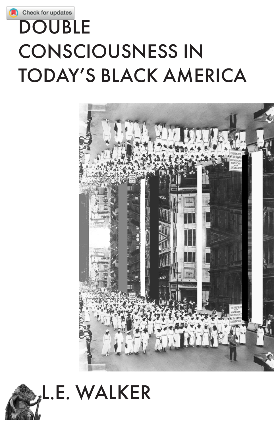## **DOUBLE CONSCIOUSNESS IN TODAY'S BLACK AMERICA**



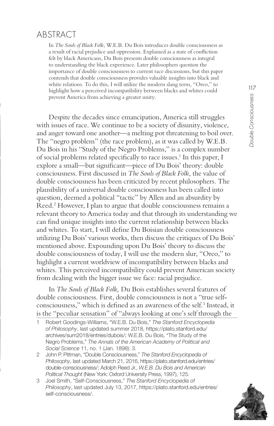## ARSTRACT

In The Souls of Black Folk, W.E.B. Du Bois introduces double consciousness as a result of racial prejudice and oppression. Explained as a state of confliction felt by black Americans, Du Bois presents double consciousness as integral to understanding the black experience. Later philosophers question the importance of double consciousness to current race discussions, but this paper contends that double consciousness provides valuable insights into black and white relations. To do this, I will utilize the modern slang term, "Oreo," to highlight how a perceived incompatibility between blacks and whites could prevent America from achieving a greater unity.

Despite the decades since emancipation, America still struggles with issues of race. We continue to be a society of disunity, violence, and anger toward one another—a melting pot threatening to boil over. The "negro problem" (the race problem), as it was called by W.E.B. Du Bois in his "Study of the Negro Problems," is a complex number of social problems related specifically to race issues.<sup>1</sup> In this paper, I explore a small—but significant—piece of Du Bois' theory: double consciousness. First discussed in The Souls of Black Folk, the value of double consciousness has been criticized by recent philosophers. The plausibility of a universal double consciousness has been called into question, deemed a political "tactic" by Allen and an absurdity by Reed.<sup>2</sup> However, I plan to argue that double consciousness remains a relevant theory to America today and that through its understanding we can find unique insights into the current relationship between blacks and whites. To start, I will define Du Boisian double consciousness utilizing Du Bois' various works, then discuss the critiques of Du Bois' mentioned above. Expounding upon Du Bois' theory to discuss the double consciousness of today, I will use the modern slur, "Oreo," to highlight a current worldview of incompatibility between blacks and whites. This perceived incompatibility could prevent American society from dealing with the bigger issue we face: racial prejudice.

In The Souls of Black Folk, Du Bois establishes several features of double consciousness. First, double consciousness is not a "true selfconsciousness," which is defined as an awareness of the self.<sup>3</sup> Instead, it is the "peculiar sensation" of "always looking at one's self through the

Joel Smith, "Self-Consciousness," The Stanford Encyclopedia of Philosophy, last updated July 13, 2017, https://plato.stanford.edu/entries/ self-consciousness/.



Robert Goodings-Williams, "W.E.B. Du Bois," The Stanford Encyclopedia of Philosophy, last updated summer 2018, https://plato.stanford.edu/ archives/sum2018/entries/dubois/; W.E.B. Du Bois, "The Study of the Negro Problems," The Annals of the American Academy of Political and Social Science 11, no. 1 (Jan. 1898): 3.

<sup>2</sup> John P. Pittman, "Double Consciousness," The Stanford Encyclopedia of Philosophy, last updated March 21, 2016, https://plato.stanford.edu/entries/ double-consciousness/; Adolph Reed Jr., W.E.B. Du Bois and American Political Thought (New York: Oxford University Press, 1997), 125.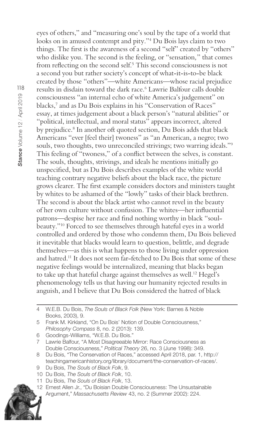eyes of others," and "measuring one's soul by the tape of a world that looks on in amused contempt and pity."<sup>4</sup> Du Bois lays claim to two things. The first is the awareness of a second "self" created by "others" who dislike you. The second is the feeling, or "sensation," that comes from reflecting on the second self.<sup>5</sup> This second consciousness is not a second you but rather society's concept of what-it-is-to-be black created by those "others"—white Americans—whose racial prejudice results in disdain toward the dark race.<sup>6</sup> Lawrie Balfour calls double consciousness "an internal echo of white America's judgement" on blacks,<sup>7</sup> and as Du Bois explains in his "Conservation of Races" essay, at times judgement about a black person's "natural abilities" or "political, intellectual, and moral status" appears incorrect, altered by prejudice.<sup>8</sup> In another oft quoted section, Du Bois adds that black Americans "ever [feel their] twoness" as "an American, a negro; two souls, two thoughts, two unreconciled strivings; two warring ideals."<sup>9</sup> This feeling of "twoness," of a conflict between the selves, is constant. The souls, thoughts, strivings, and ideals he mentions initially go unspecified, but as Du Bois describes examples of the white world teaching contrary negative beliefs about the black race, the picture grows clearer. The first example considers doctors and ministers taught by whites to be ashamed of the "lowly" tasks of their black brethren. The second is about the black artist who cannot revel in the beauty of her own culture without confusion. The whites-her influential patrons—despise her race and find nothing worthy in black "soulbeauty."<sup>10</sup> Forced to see themselves through hateful eyes in a world controlled and ordered by those who condemn them, Du Bois believed it inevitable that blacks would learn to question, belittle, and degrade themselves—as this is what happens to those living under oppression and hatred.<sup>11</sup> It does not seem far-fetched to Du Bois that some of these negative feelings would be internalized, meaning that blacks began to take up that hateful charge against themselves as well.<sup>12</sup> Hegel's phenomenology tells us that having our humanity rejected results in anguish, and I believe that Du Bois considered the hatred of black

11 Du Bois, The Souls of Black Folk, 13.

<sup>12</sup> Ernest Allen Jr., "Du Boisian Double Consciousness: The Unsustainable Argument," Massachusetts Review 43, no. 2 (Summer 2002): 224.



<sup>4</sup> W.E.B. Du Bois, The Souls of Black Folk (New York: Barnes & Noble Books, 2003), 9.

<sup>5</sup> Frank M. Kirkland, "On Du Bois' Notion of Double Consciousness," Philosophy Compass 8, no. 2 (2013): 139.

<sup>6</sup> Goodings-Williams, "W.E.B. Du Bois."

<sup>7</sup> Lawrie Balfour, "A Most Disagreeable Mirror: Race Consciousness as Double Consciousness," Political Theory 26, no. 3 (June 1998): 349.

<sup>8</sup> Du Bois, "The Conservation of Races," accessed April 2018, par. 1, http:// teachingamericanhistory.org/library/document/the-conservation-of-races/.

<sup>9</sup> Du Bois, The Souls of Black Folk, 9.

<sup>10</sup> Du Bois, The Souls of Black Folk, 10.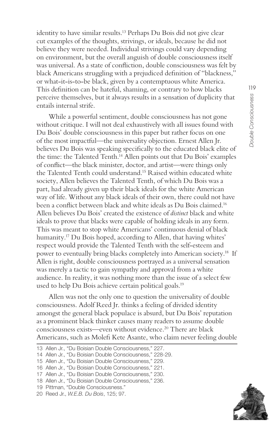identity to have similar results.<sup>13</sup> Perhaps Du Bois did not give clear cut examples of the thoughts, strivings, or ideals, because he did not believe they were needed. Individual strivings could vary depending on environment, but the overall anguish of double consciousness itself was universal. As a state of confliction, double consciousness was felt by black Americans struggling with a prejudiced definition of "blackness," or what-it-is-to-be black, given by a contemptuous white America. This definition can be hateful, shaming, or contrary to how blacks perceive themselves, but it always results in a sensation of duplicity that entails internal strife.

While a powerful sentiment, double consciousness has not gone without critique. I will not deal exhaustively with all issues found with Du Bois' double consciousness in this paper but rather focus on one of the most impactful—the universality objection. Ernest Allen Jr. believes Du Bois was speaking specifically to the educated black elite of the time: the Talented Tenth.<sup>14</sup> Allen points out that Du Bois' examples of conflict—the black minister, doctor, and artist—were things only the Talented Tenth could understand.<sup>15</sup> Raised within educated white society, Allen believes the Talented Tenth, of which Du Bois was a part, had already given up their black ideals for the white American way of life. Without any black ideals of their own, there could not have been a conflict between black and white ideals as Du Bois claimed.<sup>16</sup> Allen believes Du Bois' created the existence of distinct black and white ideals to prove that blacks were capable of holding ideals in any form. This was meant to stop white Americans' continuous denial of black humanity.<sup>17</sup> Du Bois hoped, according to Allen, that having whites' respect would provide the Talented Tenth with the self-esteem and power to eventually bring blacks completely into American society.<sup>18</sup> If Allen is right, double consciousness portrayed as a universal sensation was merely a tactic to gain sympathy and approval from a white audience. In reality, it was nothing more than the issue of a select few used to help Du Bois achieve certain political goals.<sup>19</sup>

Allen was not the only one to question the universality of double consciousness. Adolf Reed Jr. thinks a feeling of divided identity amongst the general black populace is absurd, but Du Bois' reputation as a prominent black thinker causes many readers to assume double consciousness exists—even without evidence.<sup>20</sup> There are black Americans, such as Molefi Kete Asante, who claim never feeling double

17 Allen Jr., "Du Boisian Double Consciousness," 230.<br>18 Allen Jr., "Du Boisian Double Consciousness," 236.

119

**Double Consciousness** 



<sup>13</sup> Allen Jr., "Du Boisian Double Consciousness," 227.

<sup>14</sup> Allen Jr., "Du Boisian Double Consciousness," 228-29.

<sup>15</sup> Allen Jr., "Du Boisian Double Consciousness," 229.

<sup>16</sup> Allen Jr., "Du Boisian Double Consciousness," 221.

<sup>19</sup> Pittman, "Double Consciousness."

<sup>20</sup> Reed Jr., W.E.B. Du Bois, 125; 97.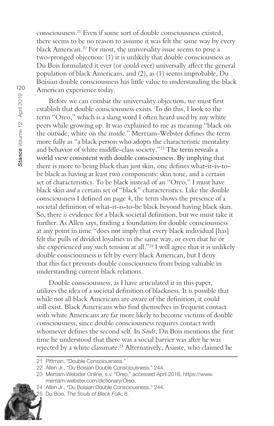consciousness.<sup>21</sup> Even if some sort of double consciousness existed, there seems to be no reason to assume it was felt the same way by every black American.<sup>22</sup> For most, the universality issue seems to pose a two-pronged objection: (1) it is unlikely that double consciousness as Du Bois formulated it ever (or could ever) universally affect the general population of black Americans, and (2), as (1) seems improbable, Du Boisian double consciousness has little value to understanding the black American experience today.

Before we can combat the universality objection, we must first establish that double consciousness exists. To do this, I look to the term "Oreo," which is a slang word I often heard used by my white peers while growing up. It was explained to me as meaning "black on the outside, white on the inside." Merriam-Webster defines the term more fully as "a black person who adopts the characteristic mentality and behavior of white middle-class society."<sup>23</sup> The term reveals a world view consistent with double consciousness. By implying that there is more to being black than just skin, one defines what-it-is-tobe black as having at least two components: skin tone, and a certain set of characteristics. To be black instead of an "Oreo," I must have black skin and a certain set of "black" characteristics. Like the double consciousness I defined on page 4, the term shows the presence of a societal definition of what-it-is-to-be black beyond having black skin. So, there is evidence for a black societal definition, but we must take it further. As Allen says, finding a foundation for double consciousness at any point in time "does not imply that every black individual [has] felt the pulls of divided loyalties in the same way, or even that he or she experienced any such tension at all."<sup>24</sup> I will agree that it is unlikely double consciousness is felt by every black American, but I deny that this fact prevents double consciousness from being valuable in understanding current black relations.

Double consciousness, as I have articulated it in this paper, utilizes the idea of a societal definition of blackness. It is possible that while not all black Americans are aware of the definition, it could still exist. Black Americans who find themselves in frequent contact with white Americans are far more likely to become victims of double consciousness, since double consciousness requires contact with whomever defines the second self. In Souls, Du Bois mentions the first time he understood that there was a social barrier was after he was rejected by a white classmate.<sup>25</sup> Alternatively, Asante, who claimed he

24 Allen Jr., "Du Boisian Double Consciousness," 244.



<sup>25</sup> Du Bois, The Souls of Black Folk, 8.

<sup>21</sup> Pittman, "Double Consciousness."

<sup>22</sup> Allen Jr., "Du Boisian Double Consciousness," 244.

<sup>23</sup> Merriam Webster Online, s.v. "Oreo," accessed April 2018, https://www. merriam-webster.com/dictionary/Oreo.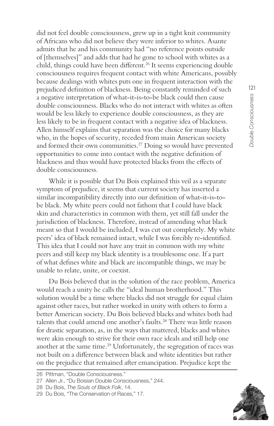did not feel double consciousness, grew up in a tight knit community of Africans who did not believe they were inferior to whites. Asante admits that he and his community had "no reference points outside of [themselves]" and adds that had he gone to school with whites as a child, things could have been different.<sup>26</sup> It seems experiencing double consciousness requires frequent contact with white Americans, possibly because dealings with whites puts one in frequent interaction with the prejudiced definition of blackness. Being constantly reminded of such a negative interpretation of what-it-is-to-be black could then cause double consciousness. Blacks who do not interact with whites as often would be less likely to experience double consciousness, as they are less likely to be in frequent contact with a negative idea of blackness. Allen himself explains that separation was the choice for many blacks who, in the hopes of security, receded from main American society and formed their own communities.<sup>27</sup> Doing so would have prevented opportunities to come into contact with the negative definition of blackness and thus would have protected blacks from the effects of double consciousness.

While it is possible that Du Bois explained this veil as a separate symptom of prejudice, it seems that current society has inserted a similar incompatibility directly into our definition of what-it-is-tobe black. My white peers could not fathom that I could have black skin and characteristics in common with them, yet still fall under the jurisdiction of blackness. Therefore, instead of amending what black meant so that I would be included, I was cut out completely. My white peers' idea of black remained intact, while I was forcibly re-identified. This idea that I could not have any trait in common with my white peers and still keep my black identity is a troublesome one. If a part of what defines white and black are incompatible things, we may be unable to relate, unite, or coexist.

Du Bois believed that in the solution of the race problem, America would reach a unity he calls the "ideal human brotherhood." This solution would be a time where blacks did not struggle for equal claim against other races, but rather worked in unity with others to form a better American society. Du Bois believed blacks and whites both had talents that could amend one another's faults.<sup>28</sup> There was little reason for drastic separation, as, in the ways that mattered, blacks and whites were akin enough to strive for their own race ideals and still help one another at the same time.<sup>29</sup> Unfortunately, the segregation of races was not built on a difference between black and white identities but rather on the prejudice that remained after emancipation. Prejudice kept the



<sup>26</sup> Pittman, "Double Consciousness."

<sup>27</sup> Allen Jr., "Du Boisian Double Consciousness," 244.

<sup>28</sup> Du Bois, The Souls of Black Folk, 14.

<sup>29</sup> Du Bois, "The Conservation of Races," 17.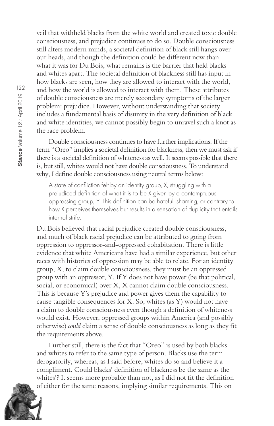veil that withheld blacks from the white world and created toxic double consciousness, and prejudice continues to do so. Double consciousness still alters modern minds, a societal definition of black still hangs over our heads, and though the definition could be different now than what it was for Du Bois, what remains is the barrier that held blacks and whites apart. The societal definition of blackness still has input in how blacks are seen, how they are allowed to interact with the world, and how the world is allowed to interact with them. These attributes of double consciousness are merely secondary symptoms of the larger problem: prejudice. However, without understanding that society includes a fundamental basis of disunity in the very definition of black and white identities, we cannot possibly begin to unravel such a knot as the race problem.

Double consciousness continues to have further implications. If the term "Oreo" implies a societal definition for blackness, then we must ask if there is a societal definition of whiteness as well. It seems possible that there is, but still, whites would not have double consciousness. To understand why, I define double consciousness using neutral terms below:

A state of confliction felt by an identity group, X, struggling with a prejudiced definition of what-it-is-to-be X given by a contemptuous oppressing group, Y. This definition can be hateful, shaming, or contrary to how X perceives themselves but results in a sensation of duplicity that entails internal strife.

Du Bois believed that racial prejudice created double consciousness, and much of black racial prejudice can be attributed to going from oppression to oppressor-and-oppressed cohabitation. There is little evidence that white Americans have had a similar experience, but other races with histories of oppression may be able to relate. For an identity group, X, to claim double consciousness, they must be an oppressed group with an oppressor, Y. If Y does not have power (be that political, social, or economical) over X, X cannot claim double consciousness. This is because Y's prejudice and power gives them the capability to cause tangible consequences for X. So, whites (as Y) would not have a claim to double consciousness even though a definition of whiteness would exist. However, oppressed groups within America (and possibly otherwise) could claim a sense of double consciousness as long as they fit the requirements above.

Further still, there is the fact that "Oreo" is used by both blacks and whites to refer to the same type of person. Blacks use the term derogatorily, whereas, as I said before, whites do so and believe it a compliment. Could blacks' definition of blackness be the same as the whites'? It seems more probable than not, as I did not fit the definition of either for the same reasons, implying similar requirements. This on

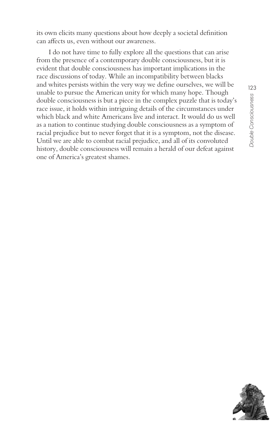its own elicits many questions about how deeply a societal definition can affects us, even without our awareness.

I do not have time to fully explore all the questions that can arise from the presence of a contemporary double consciousness, but it is evident that double consciousness has important implications in the race discussions of today. While an incompatibility between blacks and whites persists within the very way we define ourselves, we will be unable to pursue the American unity for which many hope. Though double consciousness is but a piece in the complex puzzle that is today's race issue, it holds within intriguing details of the circumstances under which black and white Americans live and interact. It would do us well as a nation to continue studying double consciousness as a symptom of racial prejudice but to never forget that it is a symptom, not the disease. Until we are able to combat racial prejudice, and all of its convoluted history, double consciousness will remain a herald of our defeat against one of America's greatest shames.